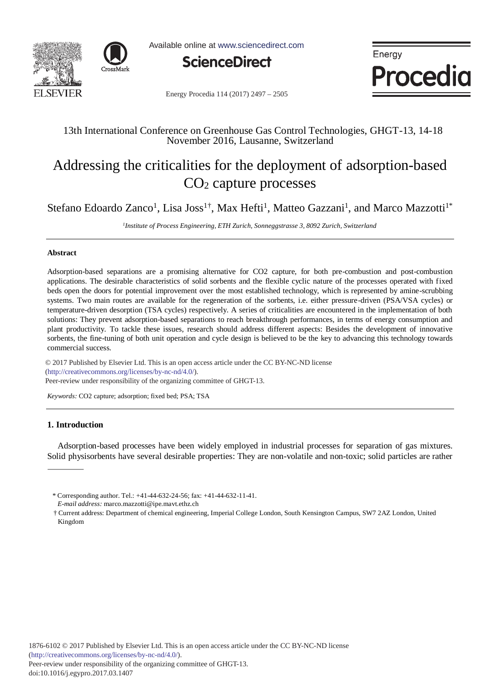



Available online at www.sciencedirect.com



Energy **Procedia** 

Energy Procedia 114 (2017) 2497 - 2505

## 13th International Conference on Greenhouse Gas Control Technologies, GHGT-13, 14-18 November 2016, Lausanne, Switzerland

# Addressing the criticalities for the deployment of adsorption-based CO2 capture processes

Stefano Edoardo Zanco<sup>1</sup>, Lisa Joss<sup>1†</sup>, Max Hefti<sup>1</sup>, Matteo Gazzani<sup>1</sup>, and Marco Mazzotti<sup>1\*</sup>

*1 Institute of Process Engineering, ETH Zurich, Sonneggstrasse 3, 8092 Zurich, Switzerland*

## **Abstract**

Adsorption-based separations are a promising alternative for CO2 capture, for both pre-combustion and post-combustion applications. The desirable characteristics of solid sorbents and the flexible cyclic nature of the processes operated with fixed beds open the doors for potential improvement over the most established technology, which is represented by amine-scrubbing systems. Two main routes are available for the regeneration of the sorbents, i.e. either pressure-driven (PSA/VSA cycles) or temperature-driven desorption (TSA cycles) respectively. A series of criticalities are encountered in the implementation of both solutions: They prevent adsorption-based separations to reach breakthrough performances, in terms of energy consumption and plant productivity. To tackle these issues, research should address different aspects: Besides the development of innovative sorbents, the fine-tuning of both unit operation and cycle design is believed to be the key to advancing this technology towards commercial success.

© 2017 The Authors. Published by Elsevier Ltd. (http://creativecommons.org/licenses/by-nc-nd/4.0/). Peer-review under responsibility of the organizing committee of GHGT-13. Peer-review under responsibility of the organizing committee of GHGT-13.© 2017 Published by Elsevier Ltd. This is an open access article under the CC BY-NC-ND license

*Keywords:* CO2 capture; adsorption; fixed bed; PSA; TSA

## **1. Introduction**

Adsorption-based processes have been widely employed in industrial processes for separation of gas mixtures. Solid physisorbents have several desirable properties: They are non-volatile and non-toxic; solid particles are rather

\* Corresponding author. Tel.: +41-44-632-24-56; fax: +41-44-632-11-41.

*E-mail address:* marco.mazzotti@ipe.mavt.ethz.ch

<sup>†</sup> Current address: Department of chemical engineering, Imperial College London, South Kensington Campus, SW7 2AZ London, United Kingdom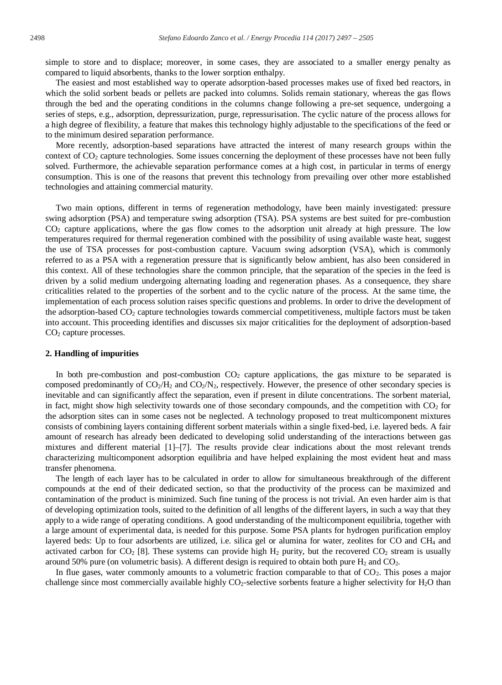simple to store and to displace; moreover, in some cases, they are associated to a smaller energy penalty as compared to liquid absorbents, thanks to the lower sorption enthalpy.

The easiest and most established way to operate adsorption-based processes makes use of fixed bed reactors, in which the solid sorbent beads or pellets are packed into columns. Solids remain stationary, whereas the gas flows through the bed and the operating conditions in the columns change following a pre-set sequence, undergoing a series of steps, e.g., adsorption, depressurization, purge, repressurisation. The cyclic nature of the process allows for a high degree of flexibility, a feature that makes this technology highly adjustable to the specifications of the feed or to the minimum desired separation performance.

More recently, adsorption-based separations have attracted the interest of many research groups within the context of CO<sub>2</sub> capture technologies. Some issues concerning the deployment of these processes have not been fully solved. Furthermore, the achievable separation performance comes at a high cost, in particular in terms of energy consumption. This is one of the reasons that prevent this technology from prevailing over other more established technologies and attaining commercial maturity.

Two main options, different in terms of regeneration methodology, have been mainly investigated: pressure swing adsorption (PSA) and temperature swing adsorption (TSA). PSA systems are best suited for pre-combustion  $CO<sub>2</sub>$  capture applications, where the gas flow comes to the adsorption unit already at high pressure. The low temperatures required for thermal regeneration combined with the possibility of using available waste heat, suggest the use of TSA processes for post-combustion capture. Vacuum swing adsorption (VSA), which is commonly referred to as a PSA with a regeneration pressure that is significantly below ambient, has also been considered in this context. All of these technologies share the common principle, that the separation of the species in the feed is driven by a solid medium undergoing alternating loading and regeneration phases. As a consequence, they share criticalities related to the properties of the sorbent and to the cyclic nature of the process. At the same time, the implementation of each process solution raises specific questions and problems. In order to drive the development of the adsorption-based  $CO<sub>2</sub>$  capture technologies towards commercial competitiveness, multiple factors must be taken into account. This proceeding identifies and discusses six major criticalities for the deployment of adsorption-based CO2 capture processes.

#### **2. Handling of impurities**

In both pre-combustion and post-combustion  $CO<sub>2</sub>$  capture applications, the gas mixture to be separated is composed predominantly of  $CO_2/H_2$  and  $CO_2/N_2$ , respectively. However, the presence of other secondary species is inevitable and can significantly affect the separation, even if present in dilute concentrations. The sorbent material, in fact, might show high selectivity towards one of those secondary compounds, and the competition with  $CO<sub>2</sub>$  for the adsorption sites can in some cases not be neglected. A technology proposed to treat multicomponent mixtures consists of combining layers containing different sorbent materials within a single fixed-bed, i.e. layered beds. A fair amount of research has already been dedicated to developing solid understanding of the interactions between gas mixtures and different material [1]–[7]. The results provide clear indications about the most relevant trends characterizing multicomponent adsorption equilibria and have helped explaining the most evident heat and mass transfer phenomena.

The length of each layer has to be calculated in order to allow for simultaneous breakthrough of the different compounds at the end of their dedicated section, so that the productivity of the process can be maximized and contamination of the product is minimized. Such fine tuning of the process is not trivial. An even harder aim is that of developing optimization tools, suited to the definition of all lengths of the different layers, in such a way that they apply to a wide range of operating conditions. A good understanding of the multicomponent equilibria, together with a large amount of experimental data, is needed for this purpose. Some PSA plants for hydrogen purification employ layered beds: Up to four adsorbents are utilized, i.e. silica gel or alumina for water, zeolites for CO and CH<sub>4</sub> and activated carbon for  $CO<sub>2</sub>$  [8]. These systems can provide high H<sub>2</sub> purity, but the recovered  $CO<sub>2</sub>$  stream is usually around 50% pure (on volumetric basis). A different design is required to obtain both pure  $H_2$  and  $CO<sub>2</sub>$ .

In flue gases, water commonly amounts to a volumetric fraction comparable to that of CO<sub>2</sub>. This poses a major challenge since most commercially available highly CO<sub>2</sub>-selective sorbents feature a higher selectivity for H<sub>2</sub>O than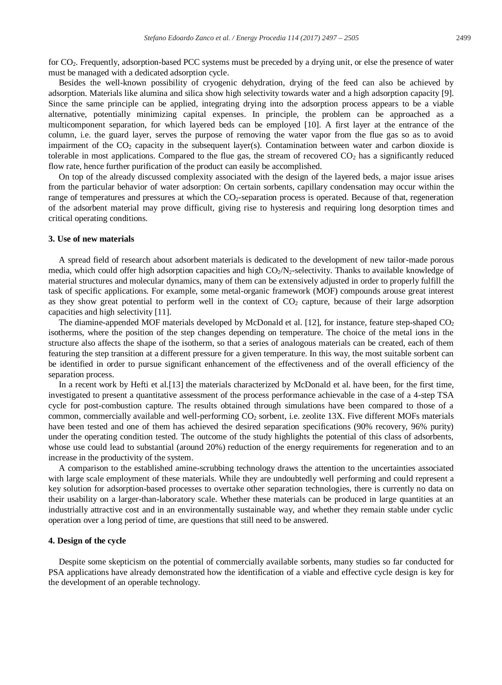for CO2. Frequently, adsorption-based PCC systems must be preceded by a drying unit, or else the presence of water must be managed with a dedicated adsorption cycle.

Besides the well-known possibility of cryogenic dehydration, drying of the feed can also be achieved by adsorption. Materials like alumina and silica show high selectivity towards water and a high adsorption capacity [9]. Since the same principle can be applied, integrating drying into the adsorption process appears to be a viable alternative, potentially minimizing capital expenses. In principle, the problem can be approached as a multicomponent separation, for which layered beds can be employed [10]. A first layer at the entrance of the column, i.e. the guard layer, serves the purpose of removing the water vapor from the flue gas so as to avoid impairment of the CO2 capacity in the subsequent layer(s). Contamination between water and carbon dioxide is tolerable in most applications. Compared to the flue gas, the stream of recovered  $CO<sub>2</sub>$  has a significantly reduced flow rate, hence further purification of the product can easily be accomplished.

On top of the already discussed complexity associated with the design of the layered beds, a major issue arises from the particular behavior of water adsorption: On certain sorbents, capillary condensation may occur within the range of temperatures and pressures at which the CO<sub>2</sub>-separation process is operated. Because of that, regeneration of the adsorbent material may prove difficult, giving rise to hysteresis and requiring long desorption times and critical operating conditions.

#### **3. Use of new materials**

A spread field of research about adsorbent materials is dedicated to the development of new tailor-made porous media, which could offer high adsorption capacities and high  $CO<sub>2</sub>/N<sub>2</sub>$ -selectivity. Thanks to available knowledge of material structures and molecular dynamics, many of them can be extensively adjusted in order to properly fulfill the task of specific applications. For example, some metal-organic framework (MOF) compounds arouse great interest as they show great potential to perform well in the context of  $CO<sub>2</sub>$  capture, because of their large adsorption capacities and high selectivity [11].

The diamine-appended MOF materials developed by McDonald et al. [12], for instance, feature step-shaped  $CO<sub>2</sub>$ isotherms, where the position of the step changes depending on temperature. The choice of the metal ions in the structure also affects the shape of the isotherm, so that a series of analogous materials can be created, each of them featuring the step transition at a different pressure for a given temperature. In this way, the most suitable sorbent can be identified in order to pursue significant enhancement of the effectiveness and of the overall efficiency of the separation process.

In a recent work by Hefti et al.[13] the materials characterized by McDonald et al. have been, for the first time, investigated to present a quantitative assessment of the process performance achievable in the case of a 4-step TSA cycle for post-combustion capture. The results obtained through simulations have been compared to those of a common, commercially available and well-performing CO<sub>2</sub> sorbent, i.e. zeolite 13X. Five different MOFs materials have been tested and one of them has achieved the desired separation specifications (90% recovery, 96% purity) under the operating condition tested. The outcome of the study highlights the potential of this class of adsorbents, whose use could lead to substantial (around 20%) reduction of the energy requirements for regeneration and to an increase in the productivity of the system.

A comparison to the established amine-scrubbing technology draws the attention to the uncertainties associated with large scale employment of these materials. While they are undoubtedly well performing and could represent a key solution for adsorption-based processes to overtake other separation technologies, there is currently no data on their usability on a larger-than-laboratory scale. Whether these materials can be produced in large quantities at an industrially attractive cost and in an environmentally sustainable way, and whether they remain stable under cyclic operation over a long period of time, are questions that still need to be answered.

## **4. Design of the cycle**

Despite some skepticism on the potential of commercially available sorbents, many studies so far conducted for PSA applications have already demonstrated how the identification of a viable and effective cycle design is key for the development of an operable technology.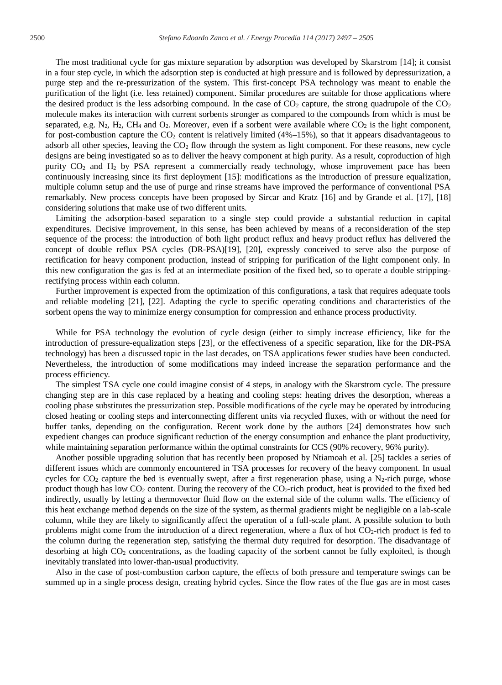The most traditional cycle for gas mixture separation by adsorption was developed by Skarstrom [14]; it consist in a four step cycle, in which the adsorption step is conducted at high pressure and is followed by depressurization, a purge step and the re-pressurization of the system. This first-concept PSA technology was meant to enable the purification of the light (i.e. less retained) component. Similar procedures are suitable for those applications where the desired product is the less adsorbing compound. In the case of  $CO<sub>2</sub>$  capture, the strong quadrupole of the  $CO<sub>2</sub>$ molecule makes its interaction with current sorbents stronger as compared to the compounds from which is must be separated, e.g.  $N_2$ ,  $H_2$ , CH<sub>4</sub> and  $O_2$ . Moreover, even if a sorbent were available where  $CO_2$  is the light component, for post-combustion capture the  $CO<sub>2</sub>$  content is relatively limited (4%–15%), so that it appears disadvantageous to adsorb all other species, leaving the CO2 flow through the system as light component. For these reasons, new cycle designs are being investigated so as to deliver the heavy component at high purity. As a result, coproduction of high purity CO2 and H2 by PSA represent a commercially ready technology, whose improvement pace has been continuously increasing since its first deployment [15]: modifications as the introduction of pressure equalization, multiple column setup and the use of purge and rinse streams have improved the performance of conventional PSA remarkably. New process concepts have been proposed by Sircar and Kratz [16] and by Grande et al. [17], [18] considering solutions that make use of two different units.

Limiting the adsorption-based separation to a single step could provide a substantial reduction in capital expenditures. Decisive improvement, in this sense, has been achieved by means of a reconsideration of the step sequence of the process: the introduction of both light product reflux and heavy product reflux has delivered the concept of double reflux PSA cycles (DR-PSA)[19], [20], expressly conceived to serve also the purpose of rectification for heavy component production, instead of stripping for purification of the light component only. In this new configuration the gas is fed at an intermediate position of the fixed bed, so to operate a double strippingrectifying process within each column.

Further improvement is expected from the optimization of this configurations, a task that requires adequate tools and reliable modeling [21], [22]. Adapting the cycle to specific operating conditions and characteristics of the sorbent opens the way to minimize energy consumption for compression and enhance process productivity.

While for PSA technology the evolution of cycle design (either to simply increase efficiency, like for the introduction of pressure-equalization steps [23], or the effectiveness of a specific separation, like for the DR-PSA technology) has been a discussed topic in the last decades, on TSA applications fewer studies have been conducted. Nevertheless, the introduction of some modifications may indeed increase the separation performance and the process efficiency.

The simplest TSA cycle one could imagine consist of 4 steps, in analogy with the Skarstrom cycle. The pressure changing step are in this case replaced by a heating and cooling steps: heating drives the desorption, whereas a cooling phase substitutes the pressurization step. Possible modifications of the cycle may be operated by introducing closed heating or cooling steps and interconnecting different units via recycled fluxes, with or without the need for buffer tanks, depending on the configuration. Recent work done by the authors [24] demonstrates how such expedient changes can produce significant reduction of the energy consumption and enhance the plant productivity, while maintaining separation performance within the optimal constraints for CCS (90% recovery, 96% purity).

Another possible upgrading solution that has recently been proposed by Ntiamoah et al. [25] tackles a series of different issues which are commonly encountered in TSA processes for recovery of the heavy component. In usual cycles for  $CO_2$  capture the bed is eventually swept, after a first regeneration phase, using a N<sub>2</sub>-rich purge, whose product though has low  $CO_2$  content. During the recovery of the  $CO_2$ -rich product, heat is provided to the fixed bed indirectly, usually by letting a thermovector fluid flow on the external side of the column walls. The efficiency of this heat exchange method depends on the size of the system, as thermal gradients might be negligible on a lab-scale column, while they are likely to significantly affect the operation of a full-scale plant. A possible solution to both problems might come from the introduction of a direct regeneration, where a flux of hot  $CO<sub>2</sub>$ -rich product is fed to the column during the regeneration step, satisfying the thermal duty required for desorption. The disadvantage of desorbing at high CO<sub>2</sub> concentrations, as the loading capacity of the sorbent cannot be fully exploited, is though inevitably translated into lower-than-usual productivity.

Also in the case of post-combustion carbon capture, the effects of both pressure and temperature swings can be summed up in a single process design, creating hybrid cycles. Since the flow rates of the flue gas are in most cases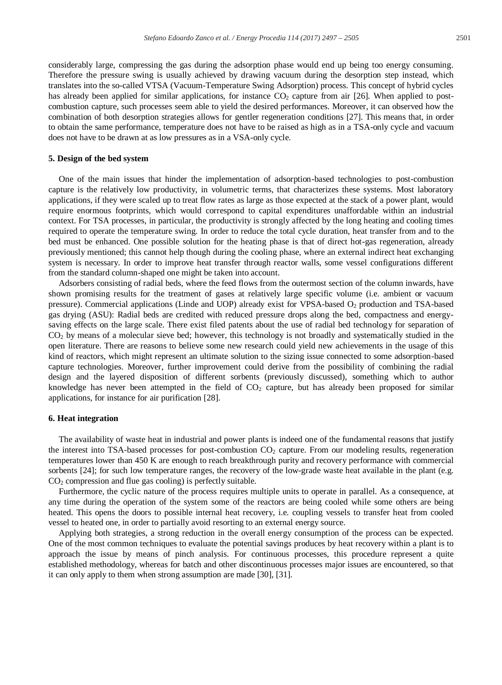considerably large, compressing the gas during the adsorption phase would end up being too energy consuming. Therefore the pressure swing is usually achieved by drawing vacuum during the desorption step instead, which translates into the so-called VTSA (Vacuum-Temperature Swing Adsorption) process. This concept of hybrid cycles has already been applied for similar applications, for instance  $CO<sub>2</sub>$  capture from air [26]. When applied to postcombustion capture, such processes seem able to yield the desired performances. Moreover, it can observed how the combination of both desorption strategies allows for gentler regeneration conditions [27]. This means that, in order to obtain the same performance, temperature does not have to be raised as high as in a TSA-only cycle and vacuum does not have to be drawn at as low pressures as in a VSA-only cycle.

## **5. Design of the bed system**

One of the main issues that hinder the implementation of adsorption-based technologies to post-combustion capture is the relatively low productivity, in volumetric terms, that characterizes these systems. Most laboratory applications, if they were scaled up to treat flow rates as large as those expected at the stack of a power plant, would require enormous footprints, which would correspond to capital expenditures unaffordable within an industrial context. For TSA processes, in particular, the productivity is strongly affected by the long heating and cooling times required to operate the temperature swing. In order to reduce the total cycle duration, heat transfer from and to the bed must be enhanced. One possible solution for the heating phase is that of direct hot-gas regeneration, already previously mentioned; this cannot help though during the cooling phase, where an external indirect heat exchanging system is necessary. In order to improve heat transfer through reactor walls, some vessel configurations different from the standard column-shaped one might be taken into account.

Adsorbers consisting of radial beds, where the feed flows from the outermost section of the column inwards, have shown promising results for the treatment of gases at relatively large specific volume (i.e. ambient or vacuum pressure). Commercial applications (Linde and UOP) already exist for VPSA-based O<sub>2</sub> production and TSA-based gas drying (ASU): Radial beds are credited with reduced pressure drops along the bed, compactness and energysaving effects on the large scale. There exist filed patents about the use of radial bed technology for separation of  $CO<sub>2</sub>$  by means of a molecular sieve bed; however, this technology is not broadly and systematically studied in the open literature. There are reasons to believe some new research could yield new achievements in the usage of this kind of reactors, which might represent an ultimate solution to the sizing issue connected to some adsorption-based capture technologies. Moreover, further improvement could derive from the possibility of combining the radial design and the layered disposition of different sorbents (previously discussed), something which to author knowledge has never been attempted in the field of  $CO<sub>2</sub>$  capture, but has already been proposed for similar applications, for instance for air purification [28].

#### **6. Heat integration**

The availability of waste heat in industrial and power plants is indeed one of the fundamental reasons that justify the interest into TSA-based processes for post-combustion CO<sub>2</sub> capture. From our modeling results, regeneration temperatures lower than 450 K are enough to reach breakthrough purity and recovery performance with commercial sorbents [24]; for such low temperature ranges, the recovery of the low-grade waste heat available in the plant (e.g.  $CO<sub>2</sub>$  compression and flue gas cooling) is perfectly suitable.

Furthermore, the cyclic nature of the process requires multiple units to operate in parallel. As a consequence, at any time during the operation of the system some of the reactors are being cooled while some others are being heated. This opens the doors to possible internal heat recovery, i.e. coupling vessels to transfer heat from cooled vessel to heated one, in order to partially avoid resorting to an external energy source.

Applying both strategies, a strong reduction in the overall energy consumption of the process can be expected. One of the most common techniques to evaluate the potential savings produces by heat recovery within a plant is to approach the issue by means of pinch analysis. For continuous processes, this procedure represent a quite established methodology, whereas for batch and other discontinuous processes major issues are encountered, so that it can only apply to them when strong assumption are made [30], [31].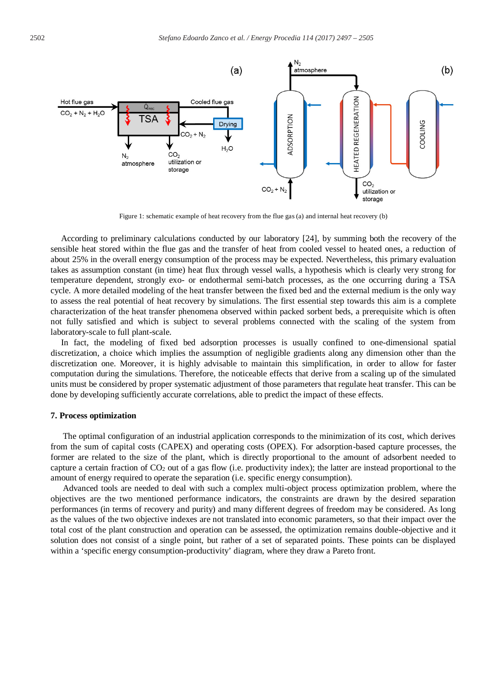

Figure 1: schematic example of heat recovery from the flue gas (a) and internal heat recovery (b)

According to preliminary calculations conducted by our laboratory [24], by summing both the recovery of the sensible heat stored within the flue gas and the transfer of heat from cooled vessel to heated ones, a reduction of about 25% in the overall energy consumption of the process may be expected. Nevertheless, this primary evaluation takes as assumption constant (in time) heat flux through vessel walls, a hypothesis which is clearly very strong for temperature dependent, strongly exo- or endothermal semi-batch processes, as the one occurring during a TSA cycle. A more detailed modeling of the heat transfer between the fixed bed and the external medium is the only way to assess the real potential of heat recovery by simulations. The first essential step towards this aim is a complete characterization of the heat transfer phenomena observed within packed sorbent beds, a prerequisite which is often not fully satisfied and which is subject to several problems connected with the scaling of the system from laboratory-scale to full plant-scale.

In fact, the modeling of fixed bed adsorption processes is usually confined to one-dimensional spatial discretization, a choice which implies the assumption of negligible gradients along any dimension other than the discretization one. Moreover, it is highly advisable to maintain this simplification, in order to allow for faster computation during the simulations. Therefore, the noticeable effects that derive from a scaling up of the simulated units must be considered by proper systematic adjustment of those parameters that regulate heat transfer. This can be done by developing sufficiently accurate correlations, able to predict the impact of these effects.

#### **7. Process optimization**

The optimal configuration of an industrial application corresponds to the minimization of its cost, which derives from the sum of capital costs (CAPEX) and operating costs (OPEX). For adsorption-based capture processes, the former are related to the size of the plant, which is directly proportional to the amount of adsorbent needed to capture a certain fraction of  $CO_2$  out of a gas flow (i.e. productivity index); the latter are instead proportional to the amount of energy required to operate the separation (i.e. specific energy consumption).

Advanced tools are needed to deal with such a complex multi-object process optimization problem, where the objectives are the two mentioned performance indicators, the constraints are drawn by the desired separation performances (in terms of recovery and purity) and many different degrees of freedom may be considered. As long as the values of the two objective indexes are not translated into economic parameters, so that their impact over the total cost of the plant construction and operation can be assessed, the optimization remains double-objective and it solution does not consist of a single point, but rather of a set of separated points. These points can be displayed within a 'specific energy consumption-productivity' diagram, where they draw a Pareto front.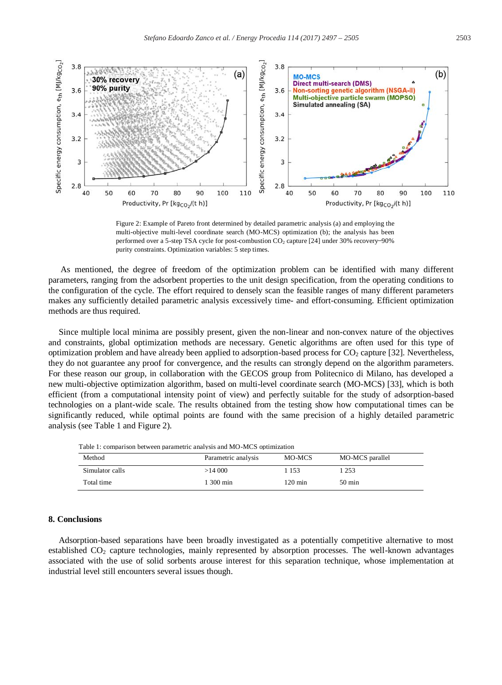

Figure 2: Example of Pareto front determined by detailed parametric analysis (a) and employing the multi-objective multi-level coordinate search (MO-MCS) optimization (b); the analysis has been performed over a 5-step TSA cycle for post-combustion CO<sub>2</sub> capture [24] under 30% recovery-90% purity constraints. Optimization variables: 5 step times.

As mentioned, the degree of freedom of the optimization problem can be identified with many different parameters, ranging from the adsorbent properties to the unit design specification, from the operating conditions to the configuration of the cycle. The effort required to densely scan the feasible ranges of many different parameters makes any sufficiently detailed parametric analysis excessively time- and effort-consuming. Efficient optimization methods are thus required.

Since multiple local minima are possibly present, given the non-linear and non-convex nature of the objectives and constraints, global optimization methods are necessary. Genetic algorithms are often used for this type of optimization problem and have already been applied to adsorption-based process for  $CO<sub>2</sub>$  capture [32]. Nevertheless, they do not guarantee any proof for convergence, and the results can strongly depend on the algorithm parameters. For these reason our group, in collaboration with the GECOS group from Politecnico di Milano, has developed a new multi-objective optimization algorithm, based on multi-level coordinate search (MO-MCS) [33], which is both efficient (from a computational intensity point of view) and perfectly suitable for the study of adsorption-based technologies on a plant-wide scale. The results obtained from the testing show how computational times can be significantly reduced, while optimal points are found with the same precision of a highly detailed parametric analysis (see Table 1 and Figure 2).

Table 1: comparison between parametric analysis and MO-MCS optimization

| Method          | Parametric analysis | MO-MCS            | MO-MCS parallel     |
|-----------------|---------------------|-------------------|---------------------|
| Simulator calls | >14000              | -153              | 1 253               |
| Total time      | 1 300 min           | $120 \text{ min}$ | $50 \,\mathrm{min}$ |

## **8. Conclusions**

Adsorption-based separations have been broadly investigated as a potentially competitive alternative to most established CO<sub>2</sub> capture technologies, mainly represented by absorption processes. The well-known advantages associated with the use of solid sorbents arouse interest for this separation technique, whose implementation at industrial level still encounters several issues though.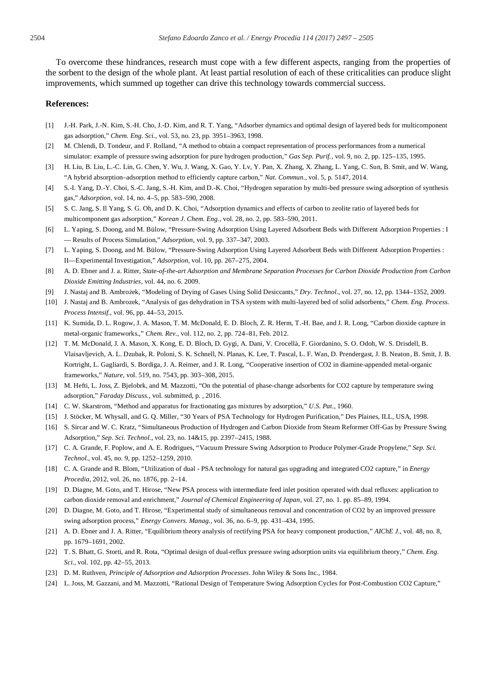To overcome these hindrances, research must cope with a few different aspects, ranging from the properties of the sorbent to the design of the whole plant. At least partial resolution of each of these criticalities can produce slight improvements, which summed up together can drive this technology towards commercial success.

## **References:**

- [1] J.-H. Park, J.-N. Kim, S.-H. Cho, J.-D. Kim, and R. T. Yang, "Adsorber dynamics and optimal design of layered beds for multicomponent gas adsorption," *Chem. Eng. Sci.*, vol. 53, no. 23, pp. 3951–3963, 1998.
- [2] M. Chlendi, D. Tondeur, and F. Rolland, "A method to obtain a compact representation of process performances from a numerical simulator: example of pressure swing adsorption for pure hydrogen production," *Gas Sep. Purif.*, vol. 9, no. 2, pp. 125–135, 1995.
- [3] H. Liu, B. Liu, L.-C. Lin, G. Chen, Y. Wu, J. Wang, X. Gao, Y. Lv, Y. Pan, X. Zhang, X. Zhang, L. Yang, C. Sun, B. Smit, and W. Wang, "A hybrid absorption–adsorption method to efficiently capture carbon," *Nat. Commun.*, vol. 5, p. 5147, 2014.
- [4] S.-I. Yang, D.-Y. Choi, S.-C. Jang, S.-H. Kim, and D.-K. Choi, "Hydrogen separation by multi-bed pressure swing adsorption of synthesis gas," *Adsorption*, vol. 14, no. 4–5, pp. 583–590, 2008.
- [5] S. C. Jang, S. Il Yang, S. G. Oh, and D. K. Choi, "Adsorption dynamics and effects of carbon to zeolite ratio of layered beds for multicomponent gas adsorption," *Korean J. Chem. Eng.*, vol. 28, no. 2, pp. 583–590, 2011.
- [6] L. Yaping, S. Doong, and M. Bülow, "Pressure-Swing Adsorption Using Layered Adsorbent Beds with Different Adsorption Properties : I — Results of Process Simulation," *Adsorption*, vol. 9, pp. 337–347, 2003.
- [7] L. Yaping, S. Doong, and M. Bülow, "Pressure-Swing Adsorption Using Layered Adsorbent Beds with Different Adsorption Properties : II—Experimental Investigation," *Adsorption*, vol. 10, pp. 267–275, 2004.
- [8] A. D. Ebner and J. a. Ritter, *State-of-the-art Adsorption and Membrane Separation Processes for Carbon Dioxide Production from Carbon Dioxide Emitting Industries*, vol. 44, no. 6. 2009.
- [9] J. Nastaj and B. Ambrożek, "Modeling of Drying of Gases Using Solid Desiccants," *Dry. Technol.*, vol. 27, no. 12, pp. 1344–1352, 2009.
- [10] J. Nastaj and B. Ambrozek, "Analysis of gas dehydration in TSA system with multi-layered bed of solid adsorbents," *Chem. Eng. Process. Process Intensif.*, vol. 96, pp. 44–53, 2015.
- [11] K. Sumida, D. L. Rogow, J. A. Mason, T. M. McDonald, E. D. Bloch, Z. R. Herm, T.-H. Bae, and J. R. Long, "Carbon dioxide capture in metal-organic frameworks.," *Chem. Rev.*, vol. 112, no. 2, pp. 724–81, Feb. 2012.
- [12] T. M. McDonald, J. A. Mason, X. Kong, E. D. Bloch, D. Gygi, A. Dani, V. Crocellà, F. Giordanino, S. O. Odoh, W. S. Drisdell, B. Vlaisavljevich, A. L. Dzubak, R. Poloni, S. K. Schnell, N. Planas, K. Lee, T. Pascal, L. F. Wan, D. Prendergast, J. B. Neaton, B. Smit, J. B. Kortright, L. Gagliardi, S. Bordiga, J. A. Reimer, and J. R. Long, "Cooperative insertion of CO2 in diamine-appended metal-organic frameworks," *Nature*, vol. 519, no. 7543, pp. 303–308, 2015.
- [13] M. Hefti, L. Joss, Z. Bjelobrk, and M. Mazzotti, "On the potential of phase-change adsorbents for CO2 capture by temperature swing adsorption," *Faraday Discuss.*, vol. submitted, p. , 2016.
- [14] C. W. Skarstrom, "Method and apparatus for fractionating gas mixtures by adsorption," *U.S. Pat.*, 1960.
- [15] J. Stöcker, M. Whysall, and G. Q. Miller, "30 Years of PSA Technology for Hydrogen Purification," Des Plaines, ILL, USA, 1998.
- [16] S. Sircar and W. C. Kratz, "Simultaneous Production of Hydrogen and Carbon Dioxide from Steam Reformer Off-Gas by Pressure Swing Adsorption," *Sep. Sci. Technol.*, vol. 23, no. 14&15, pp. 2397–2415, 1988.
- [17] C. A. Grande, F. Poplow, and A. E. Rodrigues, "Vacuum Pressure Swing Adsorption to Produce Polymer-Grade Propylene," *Sep. Sci. Technol.*, vol. 45, no. 9, pp. 1252–1259, 2010.
- [18] C. A. Grande and R. Blom, "Utilization of dual PSA technology for natural gas upgrading and integrated CO2 capture," in *Energy Procedia*, 2012, vol. 26, no. 1876, pp. 2–14.
- [19] D. Diagne, M. Goto, and T. Hirose, "New PSA process with intermediate feed inlet position operated with dual refluxes: application to carbon dioxide removal and enrichment," *Journal of Chemical Engineering of Japan*, vol. 27, no. 1. pp. 85–89, 1994.
- [20] D. Diagne, M. Goto, and T. Hirose, "Experimental study of simultaneous removal and concentration of CO2 by an improved pressure swing adsorption process," *Energy Convers. Manag.*, vol. 36, no. 6–9, pp. 431–434, 1995.
- [21] A. D. Ebner and J. A. Ritter, "Equilibrium theory analysis of rectifying PSA for heavy component production," *AIChE J.*, vol. 48, no. 8, pp. 1679–1691, 2002.
- [22] T. S. Bhatt, G. Storti, and R. Rota, "Optimal design of dual-reflux pressure swing adsorption units via equilibrium theory," *Chem. Eng. Sci.*, vol. 102, pp. 42–55, 2013.
- [23] D. M. Ruthven, *Principle of Adsorption and Adsorption Processes*. John Wiley & Sons Inc., 1984.
- [24] L. Joss, M. Gazzani, and M. Mazzotti, "Rational Design of Temperature Swing Adsorption Cycles for Post-Combustion CO2 Capture,"